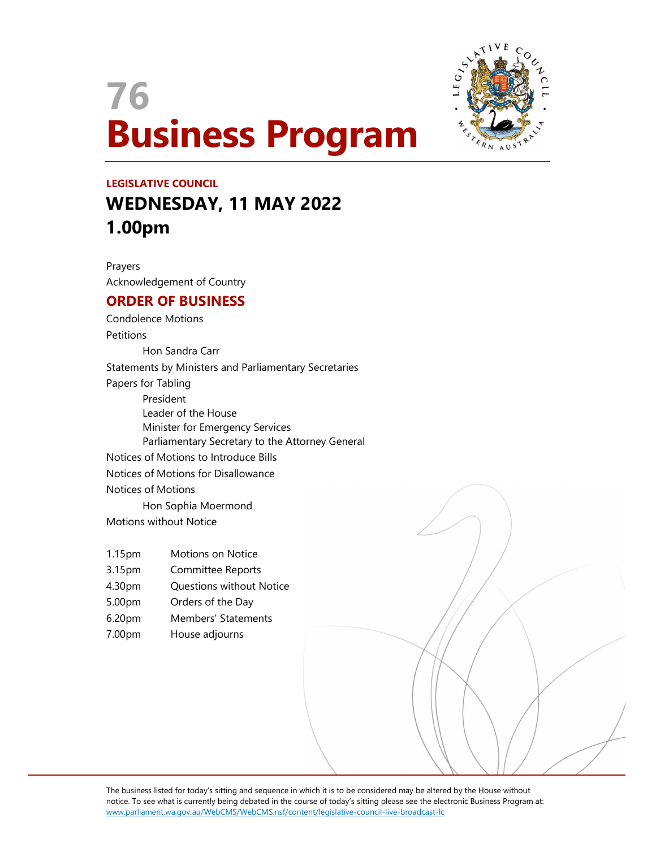



# LEGISLATIVE COUNCIL WEDNESDAY, 11 MAY 2022 1.00pm

Prayers Acknowledgement of Country

# ORDER OF BUSINESS

Condolence Motions **Petitions**  Hon Sandra Carr Statements by Ministers and Parliamentary Secretaries Papers for Tabling President Leader of the House Minister for Emergency Services Parliamentary Secretary to the Attorney General Notices of Motions to Introduce Bills Notices of Motions for Disallowance Notices of Motions Hon Sophia Moermond Motions without Notice

- 1.15pm Motions on Notice
- 3.15pm Committee Reports
- 4.30pm Questions without Notice
- 5.00pm Orders of the Day
- 6.20pm Members' Statements
- 7.00pm House adjourns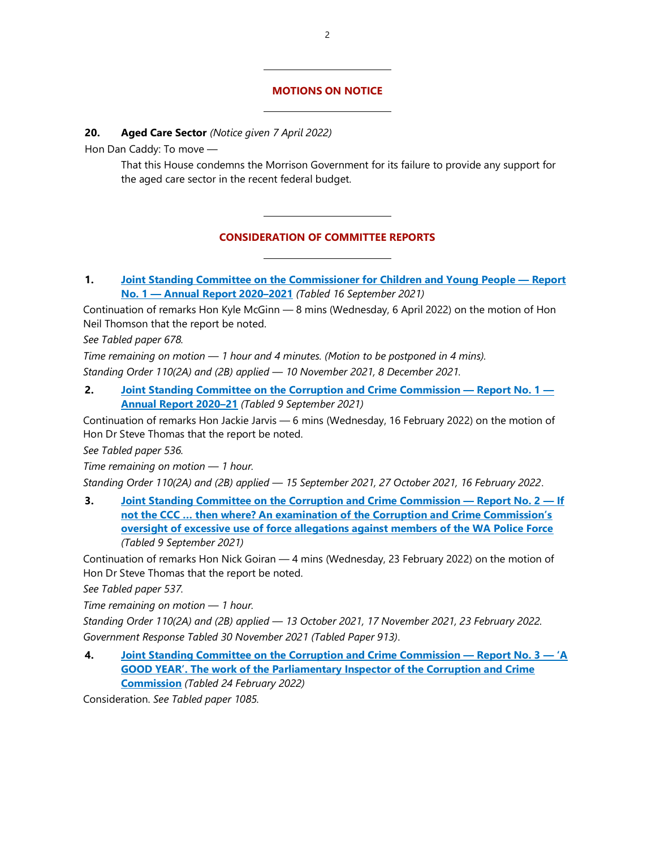#### MOTIONS ON NOTICE

 $\overline{a}$ 

#### 20. Aged Care Sector (Notice given 7 April 2022)

Hon Dan Caddy: To move —

That this House condemns the Morrison Government for its failure to provide any support for the aged care sector in the recent federal budget.

# CONSIDERATION OF COMMITTEE REPORTS

1. Joint Standing Committee on the Commissioner for Children and Young People — Report No. 1 — Annual Report 2020–2021 (Tabled 16 September 2021)

Continuation of remarks Hon Kyle McGinn — 8 mins (Wednesday, 6 April 2022) on the motion of Hon Neil Thomson that the report be noted.

See Tabled paper 678.

Time remaining on motion — 1 hour and 4 minutes. (Motion to be postponed in 4 mins). Standing Order 110(2A) and (2B) applied — 10 November 2021, 8 December 2021.

2. Joint Standing Committee on the Corruption and Crime Commission — Report No. 1 — Annual Report 2020–21 (Tabled 9 September 2021)

Continuation of remarks Hon Jackie Jarvis — 6 mins (Wednesday, 16 February 2022) on the motion of Hon Dr Steve Thomas that the report be noted.

See Tabled paper 536.

Time remaining on motion — 1 hour.

Standing Order 110(2A) and (2B) applied — 15 September 2021, 27 October 2021, 16 February 2022.

3. Joint Standing Committee on the Corruption and Crime Commission — Report No. 2 — If not the CCC … then where? An examination of the Corruption and Crime Commission's oversight of excessive use of force allegations against members of the WA Police Force (Tabled 9 September 2021)

Continuation of remarks Hon Nick Goiran — 4 mins (Wednesday, 23 February 2022) on the motion of Hon Dr Steve Thomas that the report be noted.

See Tabled paper 537.

Time remaining on motion — 1 hour.

Standing Order 110(2A) and (2B) applied — 13 October 2021, 17 November 2021, 23 February 2022. Government Response Tabled 30 November 2021 (Tabled Paper 913).

4. Joint Standing Committee on the Corruption and Crime Commission — Report No. 3 — 'A GOOD YEAR'. The work of the Parliamentary Inspector of the Corruption and Crime **Commission** (Tabled 24 February 2022)

Consideration. See Tabled paper 1085.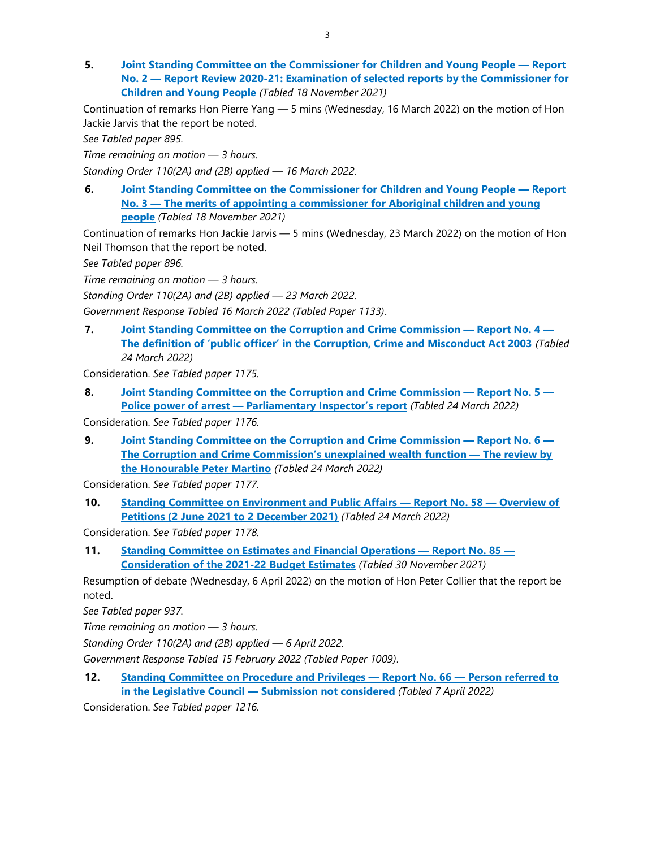5. Joint Standing Committee on the Commissioner for Children and Young People — Report No. 2 — Report Review 2020-21: Examination of selected reports by the Commissioner for Children and Young People (Tabled 18 November 2021)

Continuation of remarks Hon Pierre Yang — 5 mins (Wednesday, 16 March 2022) on the motion of Hon Jackie Jarvis that the report be noted.

See Tabled paper 895.

Time remaining on motion — 3 hours.

Standing Order 110(2A) and (2B) applied — 16 March 2022.

6. Joint Standing Committee on the Commissioner for Children and Young People — Report No. 3 — The merits of appointing a commissioner for Aboriginal children and young people (Tabled 18 November 2021)

Continuation of remarks Hon Jackie Jarvis — 5 mins (Wednesday, 23 March 2022) on the motion of Hon Neil Thomson that the report be noted.

See Tabled paper 896.

Time remaining on motion — 3 hours.

Standing Order 110(2A) and (2B) applied — 23 March 2022.

Government Response Tabled 16 March 2022 (Tabled Paper 1133).

7. Joint Standing Committee on the Corruption and Crime Commission — Report No. 4 — The definition of 'public officer' in the Corruption, Crime and Misconduct Act 2003 (Tabled 24 March 2022)

Consideration. See Tabled paper 1175.

8. Joint Standing Committee on the Corruption and Crime Commission — Report No. 5 — Police power of arrest - Parliamentary Inspector's report (Tabled 24 March 2022)

Consideration. See Tabled paper 1176.

9. Joint Standing Committee on the Corruption and Crime Commission — Report No. 6 — The Corruption and Crime Commission's unexplained wealth function — The review by the Honourable Peter Martino (Tabled 24 March 2022)

Consideration. See Tabled paper 1177.

10. Standing Committee on Environment and Public Affairs — Report No. 58 — Overview of Petitions (2 June 2021 to 2 December 2021) (Tabled 24 March 2022)

Consideration. See Tabled paper 1178.

11. Standing Committee on Estimates and Financial Operations — Report No. 85 — Consideration of the 2021-22 Budget Estimates (Tabled 30 November 2021)

Resumption of debate (Wednesday, 6 April 2022) on the motion of Hon Peter Collier that the report be noted.

See Tabled paper 937.

Time remaining on motion — 3 hours.

Standing Order 110(2A) and (2B) applied — 6 April 2022.

Government Response Tabled 15 February 2022 (Tabled Paper 1009).

12. Standing Committee on Procedure and Privileges — Report No. 66 — Person referred to in the Legislative Council — Submission not considered (Tabled 7 April 2022)

Consideration. See Tabled paper 1216.